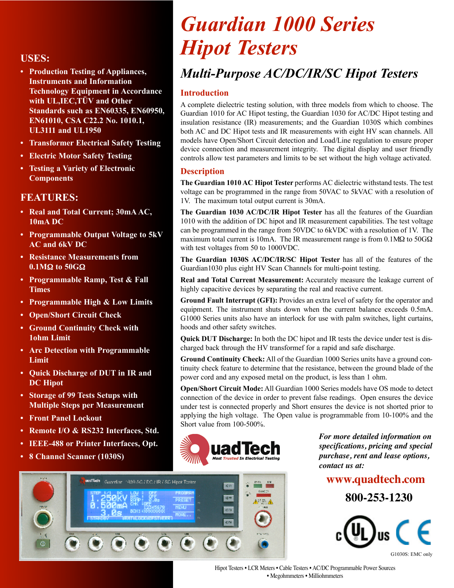- **• Production Testing of Appliances, Instruments and Information Technology Equipment in Accordance with UL,IEC,TÜV and Other Standards such as EN60335, EN60950, EN61010, CSA C22.2 No. 1010.1, UL3111 and UL1950**
- **• Transformer Electrical Safety Testing**
- **• Electric Motor Safety Testing**
- **• Testing a Variety of Electronic Components**

#### **FEATURES:**

- **• Real and Total Current; 30mA AC, 10mA DC**
- **• Programmable Output Voltage to 5kV AC and 6kV DC**
- **• Resistance Measurements from 0.1M**Ω **to 50G**Ω
- **• Programmable Ramp, Test & Fall Times**
- **• Programmable High & Low Limits**
- **• Open/Short Circuit Check**
- **• Ground Continuity Check with 1ohm Limit**
- **• Arc Detection with Programmable Limit**
- **• Quick Discharge of DUT in IR and DC Hipot**
- **• Storage of 99 Tests Setups with Multiple Steps per Measurement**
- **• Front Panel Lockout**
- **• Remote I/O & RS232 Interfaces, Std.**
- **• IEEE-488 or Printer Interfaces, Opt.**
- **• 8 Channel Scanner (1030S)**

# *Guardian 1000 Series Hipot Testers Hipot Testers*

# *Multi-Purpose AC/DC/IR/SC Hipot Testers*

#### **Introduction**

A complete dielectric testing solution, with three models from which to choose. The Guardian 1010 for AC Hipot testing, the Guardian 1030 for AC/DC Hipot testing and insulation resistance (IR) measurements; and the Guardian 1030S which combines both AC and DC Hipot tests and IR measurements with eight HV scan channels. All models have Open/Short Circuit detection and Load/Line regulation to ensure proper device connection and measurement integrity. The digital display and user friendly controls allow test parameters and limits to be set without the high voltage activated.

#### **Description**

**The Guardian 1010 AC Hipot Tester** performs AC dielectric withstand tests. The test voltage can be programmed in the range from 50VAC to 5kVAC with a resolution of 1V. The maximum total output current is 30mA.

**The Guardian 1030 AC/DC/IR Hipot Tester** has all the features of the Guardian 1010 with the addition of DC hipot and IR measurement capabilities. The test voltage can be programmed in the range from 50VDC to 6kVDC with a resolution of 1V. The maximum total current is 10mA. The IR measurement range is from  $0.1\text{M}\Omega$  to 50G $\Omega$ with test voltages from 50 to 1000VDC.

**The Guardian 1030S AC/DC/IR/SC Hipot Tester** has all of the features of the Guardian1030 plus eight HV Scan Channels for multi-point testing.

**Real and Total Current Measurement:** Accurately measure the leakage current of highly capacitive devices by separating the real and reactive current.

**Ground Fault Interrupt (GFI):** Provides an extra level of safety for the operator and equipment. The instrument shuts down when the current balance exceeds 0.5mA. G1000 Series units also have an interlock for use with palm switches, light curtains, hoods and other safety switches.

**Quick DUT Discharge:** In both the DC hipot and IR tests the device under test is discharged back through the HV transformef for a rapid and safe discharge.

**Ground Continuity Check:** All of the Guardian 1000 Series units have a ground continuity check feature to determine that the resistance, between the ground blade of the power cord and any exposed metal on the product, is less than 1 ohm.

**Open/Short Circuit Mode:** All Guardian 1000 Series models have OS mode to detect connection of the device in order to prevent false readings. Open ensures the device under test is connected properly and Short ensures the device is not shorted prior to applying the high voltage. The Open value is programmable from 10-100% and the Short value from 100-500%.



**KR** 

*For more detailed information on specifications, pricing and special purchase, rent and lease options, contact us at:* 

#### **www.quadtech.com**

**800-253-1230**





<sup>wadTech</sup> Guardian 1939 AC / DC / IR / SC Hippt Tester